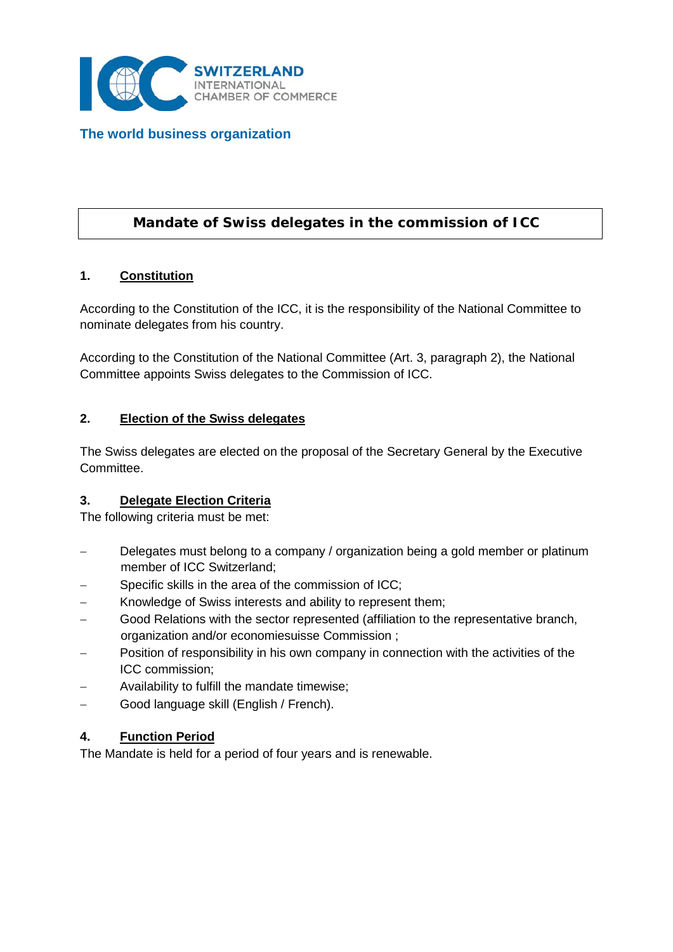

**The world business organization**

# **Mandate of Swiss delegates in the commission of ICC**

## **1. Constitution**

According to the Constitution of the ICC, it is the responsibility of the National Committee to nominate delegates from his country.

According to the Constitution of the National Committee (Art. 3, paragraph 2), the National Committee appoints Swiss delegates to the Commission of ICC.

#### **2. Election of the Swiss delegates**

The Swiss delegates are elected on the proposal of the Secretary General by the Executive Committee.

## **3. Delegate Election Criteria**

The following criteria must be met:

- Delegates must belong to a company / organization being a gold member or platinum member of ICC Switzerland;
- Specific skills in the area of the commission of ICC;
- Knowledge of Swiss interests and ability to represent them;
- Good Relations with the sector represented (affiliation to the representative branch, organization and/or economiesuisse Commission ;
- Position of responsibility in his own company in connection with the activities of the ICC commission;
- − Availability to fulfill the mandate timewise;
- − Good language skill (English / French).

## **4. Function Period**

The Mandate is held for a period of four years and is renewable.